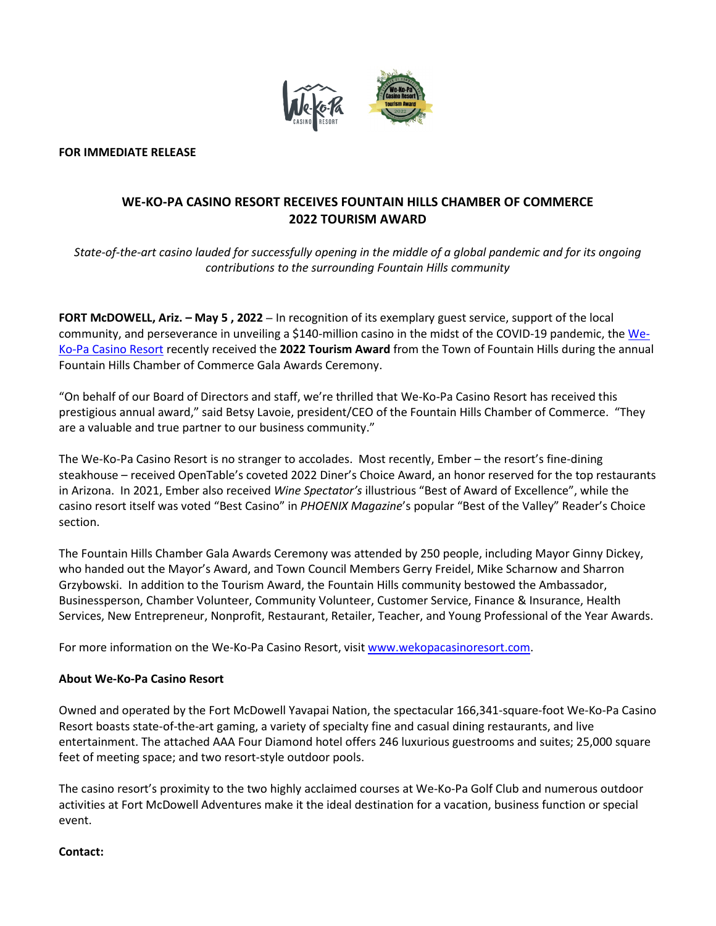

**FOR IMMEDIATE RELEASE**

## **WE-KO-PA CASINO RESORT RECEIVES FOUNTAIN HILLS CHAMBER OF COMMERCE 2022 TOURISM AWARD**

*State-of-the-art casino lauded for successfully opening in the middle of a global pandemic and for its ongoing contributions to the surrounding Fountain Hills community*

**FORT McDOWELL, Ariz. – May 5 , 2022** – In recognition of its exemplary guest service, support of the local community, and perseverance in unveiling a \$140-million casino in the midst of the COVID-19 pandemic, the [We-](http://www.wekopacasinoresort.com/)[Ko-Pa Casino Resort](http://www.wekopacasinoresort.com/) recently received the **2022 Tourism Award** from the Town of Fountain Hills during the annual Fountain Hills Chamber of Commerce Gala Awards Ceremony.

"On behalf of our Board of Directors and staff, we're thrilled that We-Ko-Pa Casino Resort has received this prestigious annual award," said Betsy Lavoie, president/CEO of the Fountain Hills Chamber of Commerce. "They are a valuable and true partner to our business community."

The We-Ko-Pa Casino Resort is no stranger to accolades. Most recently, Ember – the resort's fine-dining steakhouse – received OpenTable's coveted 2022 Diner's Choice Award, an honor reserved for the top restaurants in Arizona. In 2021, Ember also received *Wine Spectator's* illustrious "Best of Award of Excellence", while the casino resort itself was voted "Best Casino" in *PHOENIX Magazine*'s popular "Best of the Valley" Reader's Choice section.

The Fountain Hills Chamber Gala Awards Ceremony was attended by 250 people, including Mayor Ginny Dickey, who handed out the Mayor's Award, and Town Council Members Gerry Freidel, Mike Scharnow and Sharron Grzybowski. In addition to the Tourism Award, the Fountain Hills community bestowed the Ambassador, Businessperson, Chamber Volunteer, Community Volunteer, Customer Service, Finance & Insurance, Health Services, New Entrepreneur, Nonprofit, Restaurant, Retailer, Teacher, and Young Professional of the Year Awards.

For more information on the We-Ko-Pa Casino Resort, visit [www.wekopacasinoresort.com.](http://www.wekopacasinoresort.com/)

## **About We-Ko-Pa Casino Resort**

Owned and operated by the Fort McDowell Yavapai Nation, the spectacular 166,341-square-foot We-Ko-Pa Casino Resort boasts state-of-the-art gaming, a variety of specialty fine and casual dining restaurants, and live entertainment. The attached AAA Four Diamond hotel offers 246 luxurious guestrooms and suites; 25,000 square feet of meeting space; and two resort-style outdoor pools.

The casino resort's proximity to the two highly acclaimed courses at We-Ko-Pa Golf Club and numerous outdoor activities at Fort McDowell Adventures make it the ideal destination for a vacation, business function or special event.

## **Contact:**